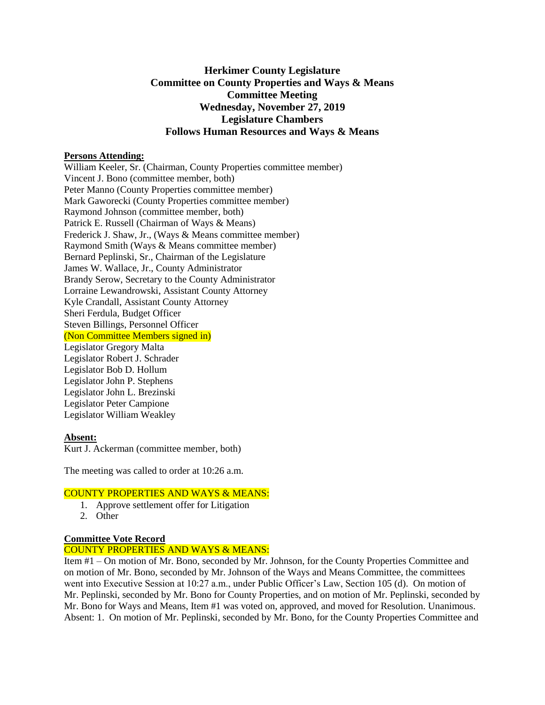# **Herkimer County Legislature Committee on County Properties and Ways & Means Committee Meeting Wednesday, November 27, 2019 Legislature Chambers Follows Human Resources and Ways & Means**

#### **Persons Attending:**

William Keeler, Sr. (Chairman, County Properties committee member) Vincent J. Bono (committee member, both) Peter Manno (County Properties committee member) Mark Gaworecki (County Properties committee member) Raymond Johnson (committee member, both) Patrick E. Russell (Chairman of Ways & Means) Frederick J. Shaw, Jr., (Ways & Means committee member) Raymond Smith (Ways & Means committee member) Bernard Peplinski, Sr., Chairman of the Legislature James W. Wallace, Jr., County Administrator Brandy Serow, Secretary to the County Administrator Lorraine Lewandrowski, Assistant County Attorney Kyle Crandall, Assistant County Attorney Sheri Ferdula, Budget Officer Steven Billings, Personnel Officer (Non Committee Members signed in) Legislator Gregory Malta Legislator Robert J. Schrader Legislator Bob D. Hollum Legislator John P. Stephens Legislator John L. Brezinski Legislator Peter Campione Legislator William Weakley

### **Absent:**

Kurt J. Ackerman (committee member, both)

The meeting was called to order at 10:26 a.m.

### COUNTY PROPERTIES AND WAYS & MEANS:

- 1. Approve settlement offer for Litigation
- 2. Other

### **Committee Vote Record**

## COUNTY PROPERTIES AND WAYS & MEANS:

Item #1 – On motion of Mr. Bono, seconded by Mr. Johnson, for the County Properties Committee and on motion of Mr. Bono, seconded by Mr. Johnson of the Ways and Means Committee, the committees went into Executive Session at 10:27 a.m., under Public Officer's Law, Section 105 (d). On motion of Mr. Peplinski, seconded by Mr. Bono for County Properties, and on motion of Mr. Peplinski, seconded by Mr. Bono for Ways and Means, Item #1 was voted on, approved, and moved for Resolution. Unanimous. Absent: 1. On motion of Mr. Peplinski, seconded by Mr. Bono, for the County Properties Committee and